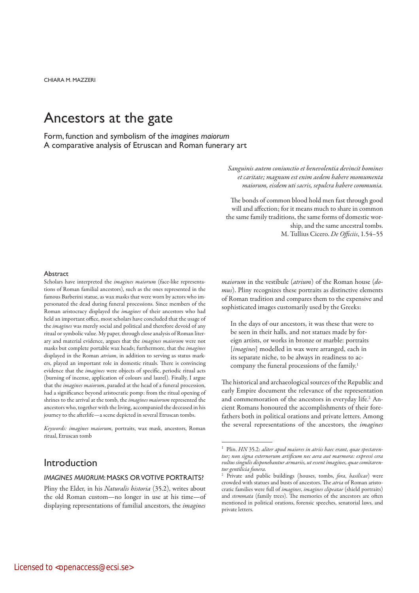# Ancestors at the gate

Form, function and symbolism of the *imagines maiorum* A comparative analysis of Etruscan and Roman funerary art

> *Sanguinis autem coniunctio et benevolentia devincit homines et caritate; magnum est enim aedem habere momumenta maiorum, eisdem uti sacris, sepulcra habere communia.*

The bonds of common blood hold men fast through good will and affection; for it means much to share in common the same family traditions, the same forms of domestic worship, and the same ancestral tombs. M. Tullius Cicero. *De Officiis*, 1.54–55

#### Abstract

Scholars have interpreted the *imagines maiorum* (face-like representations of Roman familial ancestors), such as the ones represented in the famous Barberini statue, as wax masks that were worn by actors who impersonated the dead during funeral processions. Since members of the Roman aristocracy displayed the *imagines* of their ancestors who had held an important office, most scholars have concluded that the usage of the *imagines* was merely social and political and therefore devoid of any ritual or symbolic value. My paper, through close analysis of Roman literary and material evidence, argues that the *imagines maiorum* were not masks but complete portable wax heads; furthermore, that the *imagines* displayed in the Roman *atrium*, in addition to serving as status markers, played an important role in domestic rituals. There is convincing evidence that the *imagines* were objects of specific, periodic ritual acts (burning of incense, application of colours and laurel). Finally, I argue that the *imagines maiorum*, paraded at the head of a funeral procession, had a significance beyond aristocratic pomp: from the ritual opening of shrines to the arrival at the tomb, the *imagines maiorum* represented the ancestors who, together with the living, accompanied the deceased in his journey to the afterlife—a scene depicted in several Etruscan tombs.

*Keywords: imagines maiorum*, portraits, wax mask, ancestors, Roman ritual, Etruscan tomb

### Introduction

### *IMAGINES MAIORUM*: MASKS OR VOTIVE PORTRAITS?

*maiorum* in the vestibule (*atrium*) of the Roman house (*domus*). Pliny recognizes these portraits as distinctive elements of Roman tradition and compares them to the expensive and sophisticated images customarily used by the Greeks:

In the days of our ancestors, it was these that were to be seen in their halls, and not statues made by foreign artists, or works in bronze or marble: portraits [*imagines*] modelled in wax were arranged, each in its separate niche, to be always in readiness to accompany the funeral processions of the family.<sup>1</sup>

The historical and archaeological sources of the Republic and early Empire document the relevance of the representation and commemoration of the ancestors in everyday life.<sup>2</sup> Ancient Romans honoured the accomplishments of their forefathers both in political orations and private letters. Among the several representations of the ancestors, the *imagines* 

Pliny the Elder, in his *Naturalis historia* (35.2), writes about the old Roman custom—no longer in use at his time—of displaying representations of familial ancestors, the *imagines* 

<sup>1</sup> Plin. *HN* 35.2: *aliter apud maiores in atriis haec erant, quae spectarentur; non signa externorum artificum nec aera aut marmora: expressi cera vultus singulis disponebantur armariis, ut essent imagines, quae comitarentur gentilicia funera.*

<sup>2</sup> Private and public buildings (houses, tombs, *fora*, *basilicae*) were crowded with statues and busts of ancestors. The *atria* of Roman aristocratic families were full of *imagines*, *imagines clipeatae* (shield portraits) and *stemmata* (family trees). The memories of the ancestors are often mentioned in political orations, forensic speeches, senatorial laws, and private letters.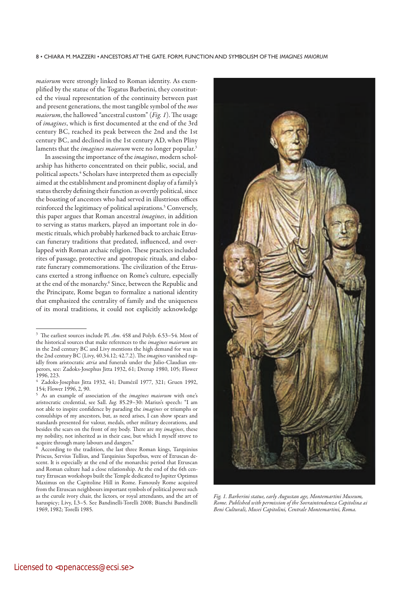*maiorum* were strongly linked to Roman identity. As exemplified by the statue of the Togatus Barberini, they constituted the visual representation of the continuity between past and present generations, the most tangible symbol of the *mos maiorum*, the hallowed "ancestral custom" (*Fig. 1*). The usage of *imagines*, which is first documented at the end of the 3rd century BC, reached its peak between the 2nd and the 1st century BC, and declined in the 1st century AD, when Pliny laments that the *imagines maiorum* were no longer popular.3

In assessing the importance of the *imagines*, modern scholarship has hitherto concentrated on their public, social, and political aspects.4 Scholars have interpreted them as especially aimed at the establishment and prominent display of a family's status thereby defining their function as overtly political, since the boasting of ancestors who had served in illustrious offices reinforced the legitimacy of political aspirations.5 Conversely, this paper argues that Roman ancestral *imagines*, in addition to serving as status markers, played an important role in domestic rituals, which probably harkened back to archaic Etruscan funerary traditions that predated, influenced, and overlapped with Roman archaic religion. These practices included rites of passage, protective and apotropaic rituals, and elaborate funerary commemorations. The civilization of the Etruscans exerted a strong influence on Rome's culture, especially at the end of the monarchy.<sup>6</sup> Since, between the Republic and the Principate, Rome began to formalize a national identity that emphasized the centrality of family and the uniqueness of its moral traditions, it could not explicitly acknowledge

<sup>&</sup>lt;sup>6</sup> According to the tradition, the last three Roman kings, Tarquinius Priscus, Servius Tullius, and Tarquinius Superbus, were of Etruscan descent. It is especially at the end of the monarchic period that Etruscan and Roman culture had a close relationship. At the end of the 6th century Etruscan workshops built the Temple dedicated to Jupiter Optimus Maximus on the Capitoline Hill in Rome. Famously Rome acquired from the Etruscan neighbours important symbols of political power such as the curule ivory chair, the lictors, or royal attendants, and the art of haruspicy; Livy, I.3–5. See Bandinelli-Torelli 2008; Bianchi Bandinelli 1969, 1982; Torelli 1985.



*Fig. 1. Barberini statue, early Augustan age, Montemartini Museum, Rome. Published with permission of the Sovraintendenza Capitolina ai Beni Culturali, Musei Capitolini, Centrale Montemartini, Roma.*

<sup>3</sup> The earliest sources include Pl. *Am*. 458 and Polyb. 6.53–54. Most of the historical sources that make references to the *imagines maiorum* are in the 2nd century BC and Livy mentions the high demand for wax in the 2nd century BC (Livy, 40.34.12; 42.7.2). The *imagines* vanished rapidly from aristocratic *atria* and funerals under the Julio-Claudian emperors, see: Zadoks-Josephus Jitta 1932, 61; Drerup 1980, 105; Flower 1996, 223.

<sup>4</sup> Zadoks-Josephus Jitta 1932, 41; Dumézil 1977, 321; Gruen 1992, 154; Flower 1996, 2, 90.

<sup>5</sup> As an example of association of the *imagines maiorum* with one's aristocratic credential, see Sall. *Iug.* 85.29–30: Marius's speech: "I am not able to inspire confidence by parading the *imagines* or triumphs or consulships of my ancestors, but, as need arises, I can show spears and standards presented for valour, medals, other military decorations, and besides the scars on the front of my body. There are my *imagines*, these my nobility, not inherited as in their case, but which I myself strove to acquire through many labours and dangers."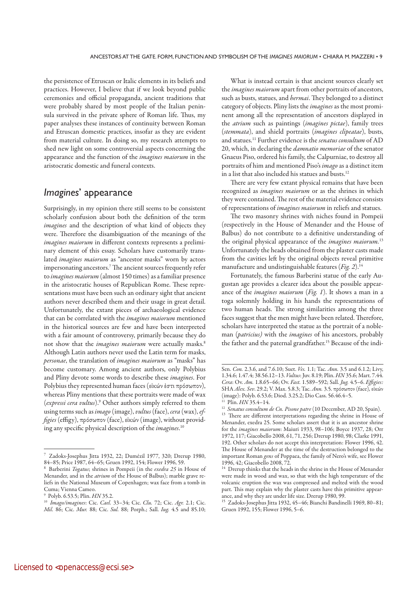the persistence of Etruscan or Italic elements in its beliefs and practices. However, I believe that if we look beyond public ceremonies and official propaganda, ancient traditions that were probably shared by most people of the Italian peninsula survived in the private sphere of Roman life. Thus, my paper analyses these instances of continuity between Roman and Etruscan domestic practices, insofar as they are evident from material culture. In doing so, my research attempts to shed new light on some controversial aspects concerning the appearance and the function of the *imagines maiorum* in the aristocratic domestic and funeral contexts.

### *Imagines*' appearance

Surprisingly, in my opinion there still seems to be consistent scholarly confusion about both the definition of the term *imagines* and the description of what kind of objects they were. Therefore the disambiguation of the meanings of the *imagines maiorum* in different contexts represents a preliminary element of this essay. Scholars have customarily translated *imagines maiorum* as "ancestor masks" worn by actors impersonating ancestors.7 The ancient sources frequently refer to *imagines maiorum* (almost 150 times) as a familiar presence in the aristocratic houses of Republican Rome. These representations must have been such an ordinary sight that ancient authors never described them and their usage in great detail. Unfortunately, the extant pieces of archaeological evidence that can be correlated with the *imagines maiorum* mentioned in the historical sources are few and have been interpreted with a fair amount of controversy, primarily because they do not show that the *imagines maiorum* were actually masks.8 Although Latin authors never used the Latin term for masks, *personae*, the translation of *imagines maiorum* as "masks" has become customary. Among ancient authors, only Polybius and Pliny devote some words to describe these *imagines*. For Polybius they represented human faces (εἰκών ἐστι πρόσωπον), whereas Pliny mentions that these portraits were made of wax (*expressi cera vultus*).9 Other authors simply referred to them using terms such as *imago* (image), *vultus* (face), *cera* (wax), *effigies* (effigy), πρόσωπον (face), εἰκών (image), without providing any specific physical description of the *imagines*. 10

What is instead certain is that ancient sources clearly set the *imagines maiorum* apart from other portraits of ancestors, such as busts, statues, and *hermai*. They belonged to a distinct category of objects. Pliny lists the *imagines* as the most prominent among all the representation of ancestors displayed in the *atrium* such as paintings (*imagines pictae*), family trees (*stemmata*), and shield portraits (*imagines clipeatae*), busts, and statues.11 Further evidence is the *senatus consultum* of AD 20, which, in declaring the *damnatio memoriae* of the senator Gnaeus Piso, ordered his family, the Calpurniae, to destroy all portraits of him and mentioned Piso's *imago* as a distinct item in a list that also included his statues and busts.<sup>12</sup>

There are very few extant physical remains that have been recognized as *imagines maiorum* or as the shrines in which they were contained. The rest of the material evidence consists of representations of *imagines maiorum* in reliefs and statues.

The two masonry shrines with niches found in Pompeii (respectively in the House of Menander and the House of Balbus) do not contribute to a definitive understanding of the original physical appearance of the *imagines maiorum.*<sup>13</sup> Unfortunately the heads obtained from the plaster casts made from the cavities left by the original objects reveal primitive manufacture and undistinguishable features (*Fig. 2*).14

Fortunately, the famous Barberini statue of the early Augustan age provides a clearer idea about the possible appearance of the *imagines maiorum* (*Fig. 1*). It shows a man in a toga solemnly holding in his hands the representations of two human heads. The strong similarities among the three faces suggest that the men might have been related. Therefore, scholars have interpreted the statue as the portrait of a nobleman (*patricius)* with the *imagines* of his ancestors, probably the father and the paternal grandfather.<sup>15</sup> Because of the indi-

<sup>7</sup> Zadoks-Josephus Jitta 1932, 22; Dumézil 1977, 320; Drerup 1980, 84–85; Price 1987, 64–65; Gruen 1992, 154; Flower 1996, 59.

<sup>8</sup> Barberini *Togatus*; shrines in Pompeii (in the *exedra 25* in House of Menander, and in the *atrium* of the House of Balbus); marble grave reliefs in the National Museum of Copenhagen; wax face from a tomb in Cuma; Vienna Cameo.

<sup>9</sup> Polyb. 6.53.5; Plin. *HN* 35.2.

<sup>10</sup>*Imago/imagines*: Cic. *Cael.* 33–34; Cic. *Clu.* 72; Cic. *Agr.* 2.1; Cic. *Mil.* 86; Cic. *Mur.* 88; Cic. *Sul.* 88; Porph.; Sall. *Iug.* 4.5 and 85.10;

Sen. *Con.* 2.3.6, and 7.6.10; Suet. *Ves.* 1.1; Tac. *Ann.* 3.5 and 6.1.2; Livy, 1.34.6; 1.47.4; 38.56.12–13. *Vultus*: Juv. 8.19; Plin. *HN* 35.6; Mart. 7.44. *Cera*: Ov. *Am.* 1.8.65–66; Ov. *Fast.* 1.589–592; Sall. *Jug.* 4.5–6. *Effigies:* SHA *Alex. Sev*. 29.2; V. Max. 5.8.3; Tac. *Ann.* 3.5. πρόσωπον (face)*,* εἰκών (image): Polyb. 6.53.6; Diod. 3.25.2; Dio Cass. 56.46.4–5.

<sup>11</sup> Plin. *HN* 35.4–14.

<sup>12</sup>*Senatus consultum de Cn. Pisone patre* (10 December, AD 20, Spain). <sup>13</sup> There are different interpretations regarding the shrine in House of Menander, exedra 25. Some scholars assert that it is an ancestor shrine for the *imagines maiorum*: Maiuri 1933, 98–106; Boyce 1937, 28; Orr 1972, 117; Giacobello 2008, 61, 71, 256; Drerup 1980, 98; Clarke 1991, 192. Other scholars do not accept this interpretation: Flower 1996, 42. The House of Menander at the time of the destruction belonged to the important Roman *gens* of Poppaea, the family of Nero's wife, see Flower 1996, 42; Giacobello 2008, 72.

 $^{\rm 14}$  Drerup thinks that the heads in the shrine in the House of Menander were made in wood and wax, so that with the high temperature of the volcanic eruption the wax was compressed and melted with the wood part. This may explain why the plaster casts have this primitive appearance, and why they are under life size. Drerup 1980, 99.

<sup>15</sup> Zadoks-Josephus Jitta 1932, 45–46; Bianchi Bandinelli 1969, 80–81; Gruen 1992, 155; Flower 1996, 5–6.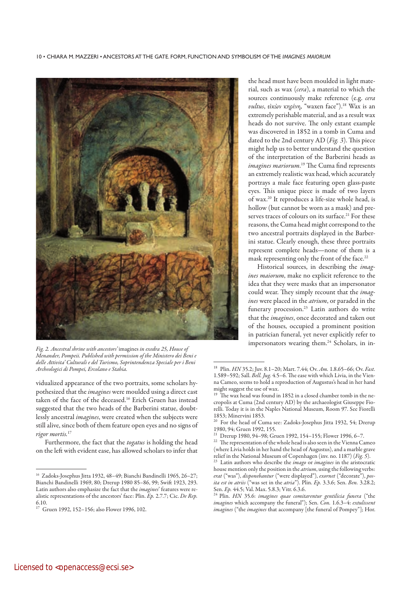$10 \cdot$  CHIARA M. MAZZERI • ANCESTORS AT THE GATE, FORM, FUNCTION AND SYMBOLISM OF THE IMAGINES MAIORUM



*Fig. 2. Ancestral shrine with ancestors'* imagines *in exedra 25, House of Menander, Pompeii. Published with permission of the Ministero dei Beni e delle Attivita' Culturali e del Turismo, Soprintendenza Speciale per i Beni Archeologici di Pompei, Ercolano e Stabia.*

vidualized appearance of the two portraits, some scholars hypothesized that the *imagines* were moulded using a direct cast taken of the face of the deceased.<sup>16</sup> Erich Gruen has instead suggested that the two heads of the Barberini statue, doubtlessly ancestral *imagines*, were created when the subjects were still alive, since both of them feature open eyes and no signs of *rigor mortis.*<sup>17</sup>

Furthermore, the fact that the *togatus* is holding the head on the left with evident ease, has allowed scholars to infer that

the head must have been moulded in light material, such as wax (*cera*), a material to which the sources continuously make reference (e.g. *cera vultus*, εἰκὼν κηρίνη, "waxen face").18 Wax is an extremely perishable material, and as a result wax heads do not survive. The only extant example was discovered in 1852 in a tomb in Cuma and dated to the 2nd century AD (*Fig. 3*). This piece might help us to better understand the question of the interpretation of the Barberini heads as *imagines mariorum*. 19 The Cuma find represents an extremely realistic wax head, which accurately portrays a male face featuring open glass-paste eyes. This unique piece is made of two layers of wax.20 It reproduces a life-size whole head, is hollow (but cannot be worn as a mask) and preserves traces of colours on its surface.<sup>21</sup> For these reasons, the Cuma head might correspond to the two ancestral portraits displayed in the Barberini statue. Clearly enough, these three portraits represent complete heads—none of them is a mask representing only the front of the face.<sup>22</sup>

Historical sources, in describing the *imagines maiorum*, make no explicit reference to the idea that they were masks that an impersonator could wear. They simply recount that the *imagines* were placed in the *atrium*, or paraded in the funerary procession.23 Latin authors do write that the *imagines*, once decorated and taken out of the houses, occupied a prominent position in patrician funeral, yet never explicitly refer to impersonators wearing them.24 Scholars, in in-

<sup>16</sup> Zadoks-Josephus Jitta 1932, 48–49; Bianchi Bandinelli 1965, 26–27; Bianchi Bandinelli 1969, 80; Drerup 1980 85–86, 99; Swift 1923, 293. Latin authors also emphasize the fact that the *imagines*' features were realistic representations of the ancestors' face: Plin. *Ep.* 2.7.7; Cic. *De Rep.* 6.10.

<sup>17</sup> Gruen 1992, 152–156; also Flower 1996, 102.

<sup>18</sup> Plin. *HN* 35.2; Juv. 8.1–20; Mart. 7.44; Ov. *Am.* 1.8.65–66; Ov. *Fast.* 1.589–592; Sall. *Bell. Jug.* 4.5–6. The ease with which Livia, in the Vienna Cameo, seems to hold a reproduction of Augustus's head in her hand might suggest the use of wax.

The wax head was found in 1852 in a closed chamber tomb in the necropolis at Cuma (2nd century AD) by the archaeologist Giuseppe Fiorelli. Today it is in the Naples National Museum, Room 97. See Fiorelli 1853; Minervini 1853.

For the head of Cuma see: Zadoks-Josephus Jitta 1932, 54; Drerup 1980, 94; Gruen 1992, 155.

<sup>21</sup> Drerup 1980, 94–98; Gruen 1992, 154–155; Flower 1996, 6–7.

<sup>&</sup>lt;sup>22</sup> The representation of the whole head is also seen in the Vienna Cameo (where Livia holds in her hand the head of Augustus), and a marble grave relief in the National Museum of Copenhagen (inv. no. 1187) (*Fig. 5*).

<sup>23</sup> Latin authors who describe the *imago* or *imagines* in the aristocratic house mention only the position in the *atrium*, using the following verbs: *erat* ("was"), *disponebantur* ("were displayed"), *exornet* ("decorate"), *posita est in atriis* ("was set in the *atria*"). Plin. *Ep.* 3.3.6; Sen. *Ben.* 3.28.2;

<sup>&</sup>lt;sup>24</sup> Plin. *HN* 35.6: *imagines quae comitarentur gentilicia funera* ("the *imagines* which accompany the funeral"); Sen. *Con.* 1.6.3–4: *extulissent imagines* ("the *imagines* that accompany [the funeral of Pompey"]; Hor.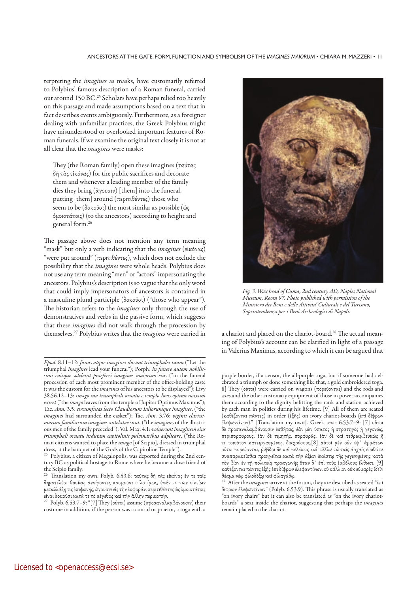terpreting the *imagines* as masks, have customarily referred to Polybius' famous description of a Roman funeral, carried out around 150 BC.<sup>25</sup> Scholars have perhaps relied too heavily on this passage and made assumptions based on a text that in fact describes events ambiguously. Furthermore, as a foreigner dealing with unfamiliar practices, the Greek Polybius might have misunderstood or overlooked important features of Roman funerals. If we examine the original text closely it is not at all clear that the *imagines* were masks:

They (the Roman family) open these imagines (ταύτας δὴ τὰς εἰκόνας) for the public sacrifices and decorate them and whenever a leading member of the family dies they bring (ἄγουσιν) [them] into the funeral, putting [them] around (περιτιθέντες) those who seem to be (δοκοῦσι) the most similar as possible (ὡς ὁμοιοτάτοις) (to the ancestors) according to height and general form.<sup>26</sup>

The passage above does not mention any term meaning "mask" but only a verb indicating that the *imagines* (εἰκόνας) "were put around" (περιτιθέντες), which does not exclude the possibility that the *imagines* were whole heads. Polybius does not use any term meaning "men" or "actors" impersonating the ancestors. Polybius's description is so vague that the only word that could imply impersonators of ancestors is contained in a masculine plural participle (δοκοῦσι) ("those who appear"). The historian refers to the *imagines* only through the use of demonstratives and verbs in the passive form, which suggests that these *imagines* did not walk through the procession by themselves.27 Polybius writes that the *imagines* were carried in

<sup>25</sup> Polybius, a citizen of Megalopolis, was deported during the 2nd century BC as political hostage to Rome where he became a close friend of the Scipio family.

27 Polyb. 6.53.7–9: "[7] They (οὗτοι) assume (προσαναλαμβάνουσιν) their costume in addition, if the person was a consul or praetor, a toga with a



*Fig. 3. Wax head of Cuma, 2nd century AD, Naples National Museum, Room 97. Photo published with permission of the Ministero dei Beni e delle Attivita' Culturali e del Turismo, Soprintendenza per i Beni Archeologici di Napoli.*

a chariot and placed on the chariot-board.28 The actual meaning of Polybius's account can be clarified in light of a passage in Valerius Maximus, according to which it can be argued that

*Epod.* 8.11–12: *funus atque imagines ducant triumphales tuum* ("Let the triumphal *imagines* lead your funeral"); Porph: *in funere autem nobilissimi cuisque solebant praeferri imagines maiorum eius* ("in the funeral procession of each most prominent member of the office-holding caste it was the custom for the *imagines* of his ancestors to be displayed"); Livy 38.56.12–13: *imago sua triumphali ornatu e templo Iovis optimi maximi exiret* ("the *imago* leaves from the temple of Jupiter Optimus Maximus"); Tac. *Ann.* 3.5: *circumfusas lecto Claudiorum Iuliorumque imagines*, ("the *imagines* had surrounded the casket"); Tac. *Ann.* 3.76: *viginti clarissimarum familiarum imagines antelatae sunt*, ("the *imagines* of the illustrious men of the family preceded"); Val. Max. 4.1: *voluerunt imaginem eius triumphali ornatu indutam capitolinis pulvinaribus adplicare*, ("the Roman citizens wanted to place the *imago* [of Scipio], dressed in triumphal dress, at the banquet of the Gods of the Capitoline Temple").

<sup>26</sup> Translation my own. Polyb. 6.53.6: ταύτας δὴ τὰς εἰκόνας ἔν τε ταῖς δημοτελέσι θυσίαις ἀνοίγοντες κοσμοῦσι φιλοτίμως, ἐπάν τε τῶν οἰκείων μεταλλάξῃ τις ἐπιφανής, ἄγουσιν εἰς τὴν ἐκφοράν, περιτιθέντες ὡς ὁμοιοτάτοις εἶναι δοκοῦσι κατά τε τὸ μέγεθος καὶ τὴν ἄλλην περικοπήν.

purple border, if a censor, the all-purple toga, but if someone had celebrated a triumph or done something like that, a gold embroidered toga. 8] They (οὗτοι) were carried on wagons (πορεύονται) and the rods and axes and the other customary equipment of those in power accompanies them according to the dignity befitting the rank and station achieved by each man in politics during his lifetime. [9] All of them are seated (καθέζονται πάντες) in order (ἑξῆς) on ivory chariot-boards (ἐπὶ δίφρων ἐλεφαντίνων)." [Translation my own]. Greek text: 6.53.7–9: [7] οὗτοι δε προσαναλαμβάνουσιν έσθητας, έὰν μεν ύπατος ἠ στρατηγὸς ἡ γεγονώς, περιπορφύρους, ἐὰν δὲ τιμητής, πορφυρᾶς, ἐὰν δὲ καὶ τεθριαμβευκὼς ἤ τι τοιοῦτον κατειργασμένος, διαχρύσους.[8] αὐτοὶ μὲν οὖν ἐφ᾽ ἁρμάτων οὗτοι πορεύονται, ῥάβδοι δὲ καὶ πελέκεις καὶ τἄλλα τὰ ταῖς ἀρχαῖς εἰωθότα συμπαρακεῖσθαι προηγεῖται κατὰ τὴν ἀξίαν ἑκάστῳ τῆς γεγενημένης κατὰ τὸν βίον ἐν τῇ πολιτείᾳ προαγωγῆς ὅταν δ᾽ ἐπὶ τοὺς ἐμβόλους ἔλθωσι, [9] καθέζονται πάντες ἑξῆς ἐπὶ δίφρων ἐλεφαντίνων. οὗ κάλλιον οὐκ εὐμαρὲς ἰδεῖν θέαμα νέῳ φιλοδόξῳ καὶ φιλαγάθῳ.

<sup>28</sup> After the *imagines* arrive at the forum, they are described as seated "ἐπὶ δίφρων ἐλεφαντίνων" (Polyb. 6.53.9). This phrase is usually translated as "on ivory chairs" but it can also be translated as "on the ivory chariotboards" a seat inside the chariot, suggesting that perhaps the *imagines* remain placed in the chariot.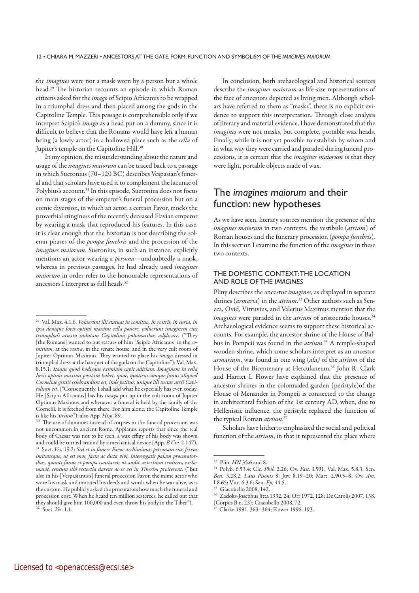the *imagines* were not a mask worn by a person but a whole head.29 The historian recounts an episode in which Roman citizens asked for the *imago* of Scipio Africanus to be wrapped in a triumphal dress and then placed among the gods in the Capitoline Temple. This passage is comprehensible only if we interpret Scipio's *imago* as a head put on a dummy, since it is difficult to believe that the Romans would have left a human being (a lowly actor) in a hallowed place such as the *cella* of Jupiter's temple on the Capitoline Hill.<sup>30</sup>

In my opinion, the misunderstanding about the nature and usage of the *imagines maiorum* can be traced back to a passage in which Suetonius (70–120 BC) describes Vespasian's funeral and that scholars have used it to complement the lacunae of Polybius's account.<sup>31</sup> In this episode, Suetonius does not focus on main stages of the emperor's funeral procession but on a comic diversion, in which an actor, a certain Favor, mocks the proverbial stinginess of the recently deceased Flavian emperor by wearing a mask that reproduced his features. In this case, it is clear enough that the historian is not describing the solemn phases of the *pompa funebris* and the procession of the *imagines maiorum*. Suetonius, in such an instance, explicitly mentions an actor wearing a *persona*—undoubtedly a mask, whereas in previous passages, he had already used *imagines maiorum* in order refer to the honourable representations of ancestors I interpret as full heads.32

In conclusion, both archaeological and historical sources describe the *imagines maiorum* as life-size representations of the face of ancestors depicted as living men. Although scholars have referred to them as "masks", there is no explicit evidence to support this interpretation. Through close analysis of literary and material evidence, I have demonstrated that the *imagines* were not masks, but complete, portable wax heads. Finally, while it is not yet possible to establish by whom and in what way they were carried and paraded during funeral processions, it is certain that the *imagines maiorum* is that they were light, portable objects made of wax.

# The *imagines maiorum* and their function: new hypotheses

As we have seen, literary sources mention the presence of the *imagines maiorum* in two contexts: the vestibule (*atrium*) of Roman houses and the funerary procession (*pompa funebris*). In this section I examine the function of the *imagines* in these two contexts.

### THE DOMESTIC CONTEXT: THE LOCATION AND ROLE OF THE *IMAGINES*

Pliny describes the ancestor *imagines*, as displayed in separate shrines (*armaria*) in the *atrium*. 33 Other authors such as Seneca, Ovid, Vitruvius, and Valerius Maximus mention that the *imagines* were paraded in the *atrium* of aristocratic houses.<sup>34</sup> Archaeological evidence seems to support these historical accounts. For example, the ancestor shrine of the House of Balbus in Pompeii was found in the *atrium*. 35 A temple-shaped wooden shrine, which some scholars interpret as an ancestor *armarium*, was found in one wing (*ala)* of the *atrium* of the House of the Bicentenary at Herculaneum.<sup>36</sup> John R. Clark and Harriet I. Flower have explained that the presence of ancestor shrines in the colonnaded garden (peristyle)of the House of Menander in Pompeii is connected to the change in architectural fashion of the 1st century AD, when, due to Hellenistic influence, the peristyle replaced the function of the typical Roman *atrium*. 37

Scholars have hitherto emphasized the social and political function of the *atrium*, in that it represented the place where

<sup>29</sup> Val. Max. 4.1.6: *Voluerunt illi statuas in comituo, in rostris, in curia, in ipsa denique Iovis optimi maximi cella ponere, voluerunt imaginem eius triumphali ornatu indutam Capitolinis pulvinaribus adplicare.* ("They [the Romans] wanted to put statues of him [Scipio Africanus] in the co*mitium*, at the *rostra*, in the senate house, and in the very cult room of Jupiter Optimus Maximus. They wanted to place his *imago* dressed in triumphal dress at the banquet of the gods on the Capitoline"); Val. Max. 8.15.1: *Itaque quod hodieque eximium capit adiciam. Imaginem in cella Iovis optimi maximi positam habet, quae, quotienscumque funus aliquod Corneliae gentis celebrandum est, inde petitur, unique illi instar atrii Capitolium est*. ("Consequently, I shall add what he especially has even today. He [Scipio Africanus] has his *imago* put up in the cult room of Jupiter Optimus Maximus and whenever a funeral is held by the family of the Cornelii, it is fetched from there. For him alone, the Capitoline Temple is like his *atrium*"); also App. *Hisp*. 89.

The use of dummies instead of corpses in the funeral procession was not uncommon in ancient Rome. Appianus reports that since the real body of Caesar was not to be seen, a wax effigy of his body was shown and could be turned around by a mechanical device (App. *B Civ.* 2.147). 31 Suet. *Ves.* 19.2: *Sed et in funere Favor archimimus personam eius ferens imitansque, ut est mos, facta ac dicta vivi, interrogatis palam procuratoribus, quanti funus et pompa constaret, ut audit sestertium centiens, exclamavit, centum sibi sestertia darent ac se vel in Tiberim proicerent.* ("But also in his [Vespasianus's] funeral procession Favor, the mime actor who wore his mask and imitated his deeds and words when he was alive, as is the custom. He publicly asked the procurators how much the funeral and procession cost. When he heard ten million sesterces, he called out that they should give him 100,000 and even throw his body in the Tiber"). 32 Suet. *Ves*. 1.1.

<sup>33</sup> Plin. *HN* 35.6 and 8.

<sup>34</sup> Polyb. 6.53.4; Cic. *Phil.* 2.26; Ov. *Fast.* I.591; Val. Max. 5.8.3; Sen. *Ben.* 3.28.2; *Laus Pisonis* 8; Juv. 8.19–20; Mart. 2.90.5–8; Ov. *Am*. I.8.65; Vitr*.* 6.3.6; Sen. *Ep.* 44.5.

<sup>35</sup> Giacobello 2008, 142.

<sup>36</sup> Zadoks-Josephus Jitta 1932, 24; Orr 1972, 128; De Carolis 2007, 138, (Corpus B n. 23); Giacobello 2008, 72.

<sup>37</sup> Clarke 1991, 363–364; Flower 1996, 193.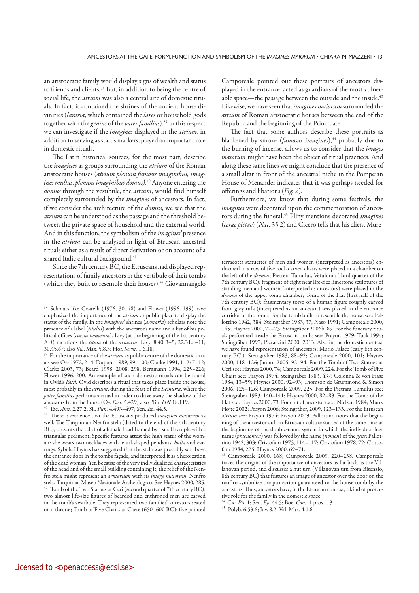an aristocratic family would display signs of wealth and status to friends and clients*.* 38 But, in addition to being the centre of social life, the *atrium* was also a central site of domestic rituals. In fact, it contained the shrines of the ancient house divinities (*lararia*, which contained the *lares* or household gods together with the *genius* of the *pater familias*).39 In this respect we can investigate if the *imagines* displayed in the *atrium*, in addition to serving as status markers, played an important role in domestic rituals.

The Latin historical sources, for the most part, describe the *imagines* as groups surrounding the *atrium* of the Roman aristocratic houses (*atrium plenum fumosis imaginibus, imagines multas, plenam imaginibus domus)*. 40 Anyone entering the *domus* through the vestibule, the *atrium*, would find himself completely surrounded by the *imagines* of ancestors. In fact, if we consider the architecture of the *domus*, we see that the *atrium* can be understood as the passage and the threshold between the private space of household and the external world. And in this function, the symbolism of the *imagines'* presence in the *atrium* can be analysed in light of Etruscan ancestral rituals either as a result of direct derivation or on account of a shared Italic cultural background.<sup>41</sup>

Since the 7th century BC, the Etruscans had displayed representations of family ancestors in the vestibule of their tombs (which they built to resemble their houses).<sup>42</sup> Giovannangelo Camporeale pointed out these portraits of ancestors displayed in the entrance, acted as guardians of the most vulnerable space—the passage between the outside and the inside.<sup>43</sup> Likewise, we have seen that *imagines maiorum* surrounded the *atrium* of Roman aristocratic houses between the end of the Republic and the beginning of the Principate.

The fact that some authors describe these portraits as blackened by smoke (*fumosas imagines*),<sup>44</sup> probably due to the burning of incense, allows us to consider that the *images maiorum* might have been the object of ritual practices. And along these same lines we might conclude that the presence of a small altar in front of the ancestral niche in the Pompeian House of Menander indicates that it was perhaps needed for offerings and libations (*Fig. 2*).

Furthermore, we know that during some festivals, the *imagines* were decorated upon the commemoration of ancestors during the funeral.45 Pliny mentions decorated *imagines* (*cerae pictae*) (*Nat*. 35.2) and Cicero tells that his client Mure-

<sup>38</sup> Scholars like Coarelli (1976, 30, 48) and Flower (1996, 199) have emphasized the importance of the *atrium* as public place to display the status of the family. In the *imagines*' shrines (*armaria*) scholars note the presence of a label (*titulus*) with the ancestor's name and a list of his political offices (*cursus honorum*)*.* Livy (at the beginning of the 1st century AD) mentions the *titula* of the *armaria*: Livy, 8.40 3–5; 22.31.8–11; 30.45.67; also Val. Max. 5.8.3; Hor. *Serm.* 1.6.18.

<sup>&</sup>lt;sup>39</sup> For the importance of the *atrium* as public centre of the domestic rituals see: Orr 1972, 2–4; Dupont 1989, 99–100; Clarke 1991, 1–2; 7–12; Clarke 2003, 73; Beard 1998; 2008, 298. Bergmann 1994, 225–226; Flower 1996, 200. An example of such domestic rituals can be found in Ovid's *Fasti.* Ovid describes a ritual that takes place inside the house, most probably in the *atrium*, during the feast of the *Lemuria*, where the *pater familias* performs a ritual in order to drive away the shadow of the ancestors from the house (Ov. *Fast.* 5.429) also Plin. *HN* 18.119.

<sup>40</sup> Tac. *Ann.* 2.27.2; Sil. *Pun.* 4.493–497; Sen. *Ep.* 44.5.

<sup>41</sup> There is evidence that the Etruscans produced *imagines maiorum* as well. The Tarquinian Nenfro stela (dated to the end of the 4th century BC), presents the relief of a female head framed by a small temple with a triangular pediment. Specific features attest the high status of the woman: she wears two necklaces with lentil-shaped pendants, *bulla* and earrings. Sybille Haynes has suggested that the stela was probably set above the entrance door in the tomb's façade, and interpreted it as a heroization of the dead woman. Yet, because of the very individualized characteristics of the head and of the small building containing it, the relief of the Nenfro stela might represent an *armarium* with its *imago maiorum*. Nenfro stela, Tarquinia, Museo Nazionale Archeologico. See Haynes 2000, 285. <sup>42</sup> Tomb of the Two Statues at Ceri (second quarter of 7th century BC): two almost life-size figures of bearded and enthroned men are carved in the tomb's vestibule. They represented two families' ancestors seated on a throne; Tomb of Five Chairs at Caere (650–600 BC): five painted

terracotta statuettes of men and women (interpreted as ancestors) enthroned in a row of five rock-carved chairs were placed in a chamber on the left of the *dromos*; Pietrera Tumulus, Vetulonia (third quarter of the 7th century BC): fragment of eight near life-size limestone sculptures of standing men and women (interpreted as ancestors) were placed in the *dromos* of the upper tomb chamber; Tomb of the Hat (first half of the 7th century BC): fragmentary torso of a human figure roughly carved from grey tufa (interpreted as an ancestor) was placed in the entrance corridor of the tomb. For the tomb built to resemble the house see: Pallottino 1942, 384; Steingräber 1983, 37; Naso 1991; Camporeale 2000, 145; Haynes 2000, 72–73; Steingräber 2006b, 89. For the funerary rituals performed inside the Etruscan tombs see: Prayon 1979; Tuck 1994; Steingräber 1997; Pieraccini 2000; 2013. Also in the domestic context we have found representation of ancestors: Murlo Palace (early 6th century BC.): Steingräber 1983, 88–92; Camporeale 2000, 101; Haynes 2000, 118–126; Jannot 2005, 92–94. For the Tomb of Two Statues at Ceri see: Haynes 2000, 74; Camporeale 2009, 224. For the Tomb of Five Chairs see: Prayon 1974; Steingräber 1983, 437; Colonna & von Hase 1984, 13–59; Haynes 2000, 92–93; Thomson de Grummond & Simon 2006, 125–126; Camporeale 2009, 225. For the Pietrara Tumulus see: Steingräber 1983, 140–141; Haynes 2000, 82–83. For the Tomb of the Hat see: Haynes 2000, 73. For cult of ancestors see: Nielsen 1984; Munk Højte 2002; Prayon 2006; Steingräber, 2009, 123–133. For the Etruscan *atrium* see: Prayon 1974; Prayon 2009. Pallottino notes that the beginning of the ancestor cult in Etruscan culture started at the same time as the beginning of the double-name system in which the individual first name (*praenomen*) was followed by the name *(nomen*) of the *gens*: Pallottino 1942, 303; Cristofani 1973, 114–117; Cristofani 1978, 72; Cristofani 1984, 225; Haynes 2000, 69–71.

<sup>43</sup> Camporeale 2000, 168; Camporeale 2009, 220–238. Camporeale traces the origins of the importance of ancestors as far back as the Villanovan period, and discusses a hut urn (Villanovan urn from Bisenzio, 8th century BC) that features an image of ancestor over the door on the roof to symbolize the protection guaranteed to the house-tomb by the ancestors. Thus, ancestors have, in the Etruscan context, a kind of protective role for the family in the domestic space.

<sup>44</sup> Cic. *Pis.* 1; Sen. *Ep.* 44.5; Boe. *Cons.* 1 pros. 1.3.

<sup>45</sup> Polyb. 6.53.6; Juv. 8,2; Val. Max. 4.1.6.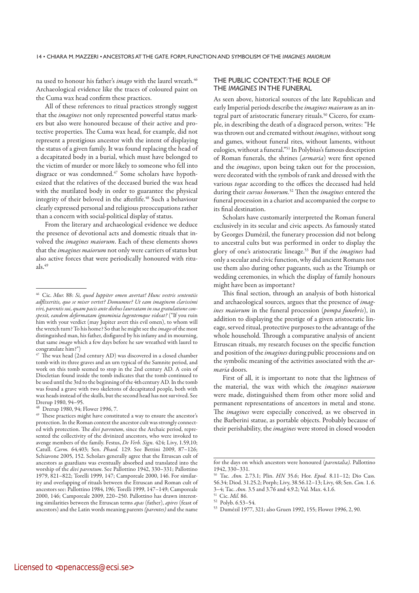na used to honour his father's *imago* with the laurel wreath.46 Archaeological evidence like the traces of coloured paint on the Cuma wax head confirm these practices.

All of these references to ritual practices strongly suggest that the *imagines* not only represented powerful status markers but also were honoured because of their active and protective properties. The Cuma wax head, for example, did not represent a prestigious ancestor with the intent of displaying the status of a given family. It was found replacing the head of a decapitated body in a burial, which must have belonged to the victim of murder or more likely to someone who fell into disgrace or was condemned.<sup>47</sup> Some scholars have hypothesized that the relatives of the deceased buried the wax head with the mutilated body in order to guarantee the physical integrity of their beloved in the afterlife.<sup>48</sup> Such a behaviour clearly expressed personal and religious preoccupations rather than a concern with social-political display of status.

From the literary and archaeological evidence we deduce the presence of devotional acts and domestic rituals that involved the *imagines maiorum*. Each of these elements shows that the *imagines maiorum* not only were carriers of status but also active forces that were periodically honoured with ritu $als.49$ 

### THE PUBLIC CONTEXT: THE ROLE OF THE *IMAGINES* IN THE FUNERAL

As seen above, historical sources of the late Republican and early Imperial periods describe the *imagines maiorum* as an integral part of aristocratic funerary rituals.<sup>50</sup> Cicero, for example, in describing the death of a disgraced person, writes: "He was thrown out and cremated without *imagines*, without song and games, without funeral rites, without laments, without eulogies, without a funeral."51 In Polybius's famous description of Roman funerals, the shrines (*armaria*) were first opened and the *imagines*, upon being taken out for the procession, were decorated with the symbols of rank and dressed with the various *togae* according to the offices the deceased had held during their *cursus honorum.*52 Then the *imagines* entered the funeral procession in a chariot and accompanied the corpse to its final destination.

Scholars have customarily interpreted the Roman funeral exclusively in its secular and civic aspects. As famously stated by Georges Dumézil, the funerary procession did not belong to ancestral cults but was performed in order to display the glory of one's aristocratic lineage.53 But if the *imagines* had only a secular and civic function, why did ancient Romans not use them also during other pageants, such as the Triumph or wedding ceremonies, in which the display of family honours might have been as important?

This final section, through an analysis of both historical and archaeological sources, argues that the presence of *imagines maiorum* in the funeral procession (*pompa funebris*), in addition to displaying the prestige of a given aristocratic lineage, served ritual, protective purposes to the advantage of the whole household. Through a comparative analysis of ancient Etruscan rituals, my research focuses on the specific function and position of the *imagines* during public processions and on the symbolic meaning of the activities associated with the *armaria* doors.

First of all, it is important to note that the lightness of the material, the wax with which the *imagines maiorum*  were made, distinguished them from other more solid and permanent representations of ancestors in metal and stone. The *imagines* were especially conceived, as we observed in the Barberini statue, as portable objects. Probably because of their perishability, the *imagines* were stored in closed wooden

<sup>46</sup> Cic. *Mur.* 88: *Si, quod Iuppiter omen avertat! Hunc vestris sententiis adflixeritis, quo se miser vertet? Domumne? Ut eam imaginem clarissimi viri, parentis sui, quam pacis ante diebus laureatam in sua gratulatione conspexit, eandem deformatam ignominia lugentemque videat?* ("If you ruin him with your verdict (may Jupiter avert this evil omen), to whom will the wretch turn? To his home? So that he might see the *imago* of the most distinguished man, his father, disfigured by his infamy and in mourning, that same *imago* which a few days before he saw wreathed with laurel to congratulate him?")

 $47$  The wax head (2nd century AD) was discovered in a closed chamber tomb with its three graves and an urn typical of the Samnite period, and work on this tomb seemed to stop in the 2nd century AD. A coin of Diocletian found inside the tomb indicates that the tomb continued to be used until the 3rd to the beginning of the 4thcentury AD. In the tomb was found a grave with two skeletons of decapitated people, both with wax heads instead of the skulls, but the second head has not survived. See Drerup 1980, 94–95.

<sup>48</sup> Drerup 1980, 94; Flower 1996, 7.

<sup>&</sup>lt;sup>49</sup> These practices might have constituted a way to ensure the ancestor's protection. In the Roman context the ancestor cult was strongly connected with protection. The *divi parentum*, since the Archaic period, represented the collectivity of the divinized ancestors, who were invoked to avenge members of the family. Festus, *De Verb. Sign*. 424; Livy, 1.59,10; Catull. *Carm.* 64,403; Sen. *Phaed.* 129. See Bettini 2009, 87–126; Schiavone 2005, 152. Scholars generally agree that the Etruscan cult of ancestors as guardians was eventually absorbed and translated into the worship of the *divi parentum*. See Pallottino 1942, 330–331; Pallottino 1979, 821–822; Torelli 1999, 147; Camporeale 2000, 146. For similarity and overlapping of rituals between the Etruscan and Roman cult of ancestors see: Pallottino 1984, 196; Torelli 1999, 147–149; Camporeale 2000, 146; Camporeale 2009, 220–250. Pallottino has drawn interesting similarities between the Etruscan terms *apas* (father), *apires* (feast of ancestors) and the Latin words meaning parents *(parentes)* and the name

for the days on which ancestors were honoured (*parentalia).* Pallottino 1942, 330–331.

<sup>50</sup> Tac. *Ann.* 2.73.1; Plin. *HN* 35.6; Hor. *Epod.* 8.11–12; Dio Cass. 56.34; Diod. 31.25.2; Porph; Livy, 38.56.12–13; Livy, 48; Sen. *Con.* 1. 6. 3–4; Tac. *Ann.* 3.5 and 3.76 and 4.9.2; Val. Max. 4.1.6.

<sup>&</sup>lt;sup>51</sup> Cic. *Mil.* 86.<br><sup>52</sup> Polyb. 6.53–54.

<sup>53</sup> Dumézil 1977, 321; also Gruen 1992, 155; Flower 1996, 2, 90.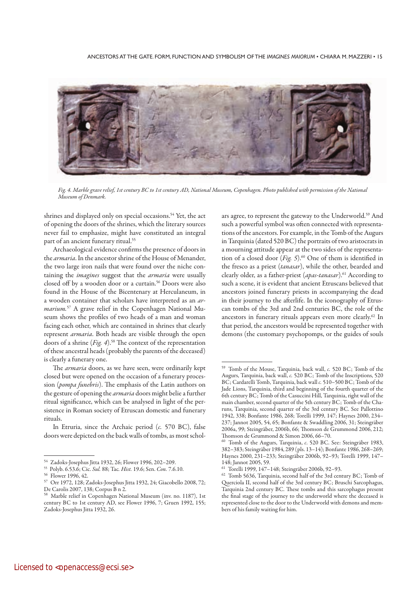

*Fig. 4. Marble grave relief, 1st century BC to 1st century AD, National Museum, Copenhagen. Photo published with permission of the National Museum of Denmark.*

shrines and displayed only on special occasions.<sup>54</sup> Yet, the act of opening the doors of the shrines, which the literary sources never fail to emphasize, might have constituted an integral part of an ancient funerary ritual.<sup>55</sup>

Archaeological evidence confirms the presence of doors in the *armaria*. In the ancestor shrine of the House of Menander, the two large iron nails that were found over the niche containing the *imagines* suggest that the *armaria* were usually closed off by a wooden door or a curtain.<sup>56</sup> Doors were also found in the House of the Bicentenary at Herculaneum, in a wooden container that scholars have interpreted as an *armarium.*57 A grave relief in the Copenhagen National Museum shows the profiles of two heads of a man and woman facing each other, which are contained in shrines that clearly represent *armaria*. Both heads are visible through the open doors of a shrine (*Fig. 4*).58 The context of the representation of these ancestral heads (probably the parents of the deceased) is clearly a funerary one.

The *armaria* doors, as we have seen, were ordinarily kept closed but were opened on the occasion of a funerary procession (*pompa funebris*). The emphasis of the Latin authors on the gesture of opening the *armaria* doors might belie a further ritual significance, which can be analysed in light of the persistence in Roman society of Etruscan domestic and funerary rituals.

In Etruria, since the Archaic period (*c.* 570 BC), false doors were depicted on the back walls of tombs, as most scholars agree, to represent the gateway to the Underworld.<sup>59</sup> And such a powerful symbol was often connected with representations of the ancestors. For example, in the Tomb of the Augurs in Tarquinia (dated 520 BC) the portraits of two aristocrats in a mourning attitude appear at the two sides of the representation of a closed door (*Fig. 5*).<sup>60</sup> One of them is identified in the fresco as a priest (*tanasar*), while the other, bearded and clearly older, as a father-priest (*apas-tanasar*).<sup>61</sup> According to such a scene, it is evident that ancient Etruscans believed that ancestors joined funerary priests in accompanying the dead in their journey to the afterlife. In the iconography of Etruscan tombs of the 3rd and 2nd centuries BC, the role of the ancestors in funerary rituals appears even more clearly.<sup>62</sup> In that period, the ancestors would be represented together with demons (the customary psychopomps, or the guides of souls

<sup>54</sup> Zadoks-Josephus Jitta 1932, 26; Flower 1996, 202–209.

<sup>55</sup> Polyb. 6.53.6; Cic. *Sul.* 88; Tac*. Hist.* 19.6; Sen. *Con.* 7.6.10.

<sup>56</sup> Flower 1996, 42.

<sup>57</sup> Orr 1972, 128; Zadoks-Josephus Jitta 1932, 24; Giacobello 2008, 72; De Carolis 2007, 138; Corpus B n 2.

<sup>58</sup> Marble relief in Copenhagen National Museum (inv. no. 1187), 1st century BC to 1st century AD, see Flower 1996, 7; Gruen 1992, 155; Zadoks-Josephus Jitta 1932, 26.

<sup>59</sup> Tomb of the Mouse, Tarquinia, back wall, *c.* 520 BC; Tomb of the Augurs, Tarquinia, back wall, *c.* 520 BC; Tomb of the Inscriptions, 520 BC; Cardarelli Tomb, Tarquinia, back wall *c.* 510–500 BC; Tomb of the Jade Lions, Tarquinia, third and beginning of the fourth quarter of the 6th century BC; Tomb of the Casuccini Hill, Tarquinia, right wall of the main chamber, second quarter of the 5th century BC; Tomb of the Charuns, Tarquinia, second quarter of the 3rd century BC. See Pallottino 1942, 338; Bonfante 1986, 268; Torelli 1999, 147; Haynes 2000, 234– 237; Jannot 2005, 54, 65; Bonfante & Swaddling 2006, 31; Steingräber 2006a, 99; Steingräber, 2006b, 66; Thomson de Grummond 2006, 212; Thomson de Grummond & Simon 2006, 66–70.

Tomb of the Augurs, Tarquinia, c. 520 BC. See: Steingräber 1983, 382–383; Steingräber 1984, 289 (pls. 13–14); Bonfante 1986, 268–269; Haynes 2000, 231–233; Steingräber 2006b, 92–93; Torelli 1999, 147– 148; Jannot 2005, 59.

<sup>61</sup> Torelli 1999, 147–148; Steingräber 2006b, 92–93.

<sup>62</sup> Tomb 5636, Tarquinia, second half of the 3rd century BC; Tomb of Querciola II, second half of the 3rd century BC; Bruschi Sarcophagus, Tarquinia 2nd century BC. These tombs and this sarcophagus present the final stage of the journey to the underworld where the deceased is represented close to the door to the Underworld with demons and members of his family waiting for him.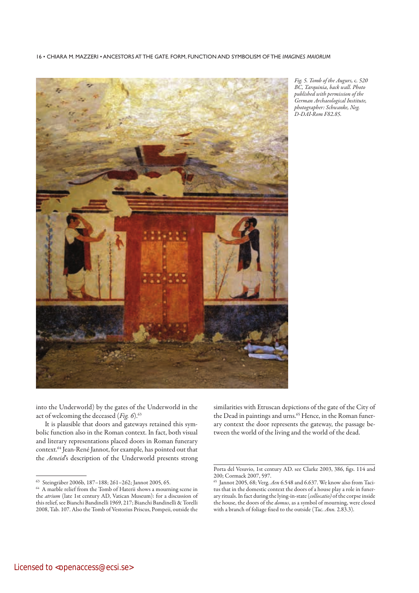16 • CHIARA M. MAZZERI • ANCESTORS AT THE GATE. FORM, FUNCTION AND SYMBOLISM OF THE IMAGINES MAIORUM



*Fig. 5. Tomb of the Augurs,* c*. 520 BC, Tarquinia, back wall. Photo published with permission of the German Archaeological Institute, photo grapher: Schwanke, Neg. D-DAI-Rom F82.85.*

into the Underworld) by the gates of the Underworld in the act of welcoming the deceased (*Fig. 6*).63

It is plausible that doors and gateways retained this symbolic function also in the Roman context. In fact, both visual and literary representations placed doors in Roman funerary context.64 Jean-René Jannot, for example, has pointed out that the *Aeneid*'s description of the Underworld presents strong similarities with Etruscan depictions of the gate of the City of the Dead in paintings and urns.<sup>65</sup> Hence, in the Roman funerary context the door represents the gateway, the passage between the world of the living and the world of the dead.

<sup>63</sup> Steingräber 2006b, 187–188; 261–262; Jannot 2005, 65.

 $64$  A marble relief from the Tomb of Haterii shows a mourning scene in the *atrium* (late 1st century AD, Vatican Museum): for a discussion of this relief, see Bianchi Bandinelli 1969, 217; Bianchi Bandinelli & Torelli 2008, Tab. 107. Also the Tomb of Vestorius Priscus, Pompeii, outside the

Porta del Vesuvio, 1st century AD. see Clarke 2003, 386, figs. 114 and 200; Cormack 2007, 597.

<sup>65</sup> Jannot 2005, 68; Verg. *Aen* 6.548 and 6.637. We know also from Tacitus that in the domestic context the doors of a house play a role in funerary rituals. In fact during the lying-in-state (*collocatio)* of the corpse inside the house, the doors of the *domus*, as a symbol of mourning, were closed with a branch of foliage fixed to the outside (Tac. *Ann.* 2.83.3).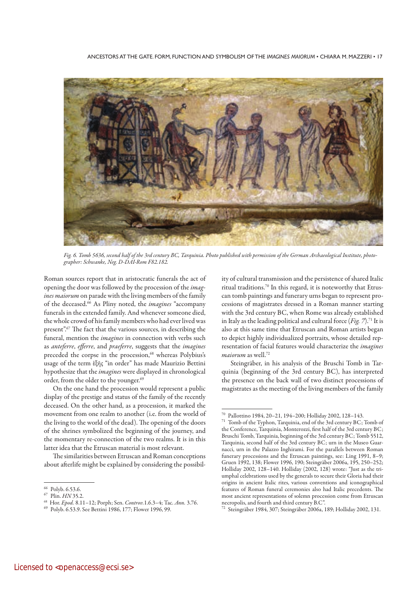ANCESTORS AT THE GATE. FORM, FUNCTION AND SYMBOLISM OF THE *IMAGINES MAIORUM* • CHIARA M. MAZZERI • 17



*Fig. 6. Tomb 5636, second half of the 3rd century BC, Tarquinia. Photo published with permission of the German Archaeological Institute, photographer: Schwanke, Neg. D-DAI-Rom F82.182.*

Roman sources report that in aristocratic funerals the act of opening the door was followed by the procession of the *imagines maiorum* on parade with the living members of the family of the deceased.66 As Pliny noted, the *imagines* "accompany funerals in the extended family. And whenever someone died, the whole crowd of his family members who had ever lived was present".67 The fact that the various sources, in describing the funeral, mention the *imagines* in connection with verbs such as *anteferre*, *efferre*, and *praeferre*, suggests that the *imagines* preceded the corpse in the procession,<sup>68</sup> whereas Polybius's usage of the term ἑξῆς "in order" has made Maurizio Bettini hypothesize that the *imagines* were displayed in chronological order, from the older to the younger.<sup>69</sup>

On the one hand the procession would represent a public display of the prestige and status of the family of the recently deceased. On the other hand, as a procession, it marked the movement from one realm to another (i.e. from the world of the living to the world of the dead). The opening of the doors of the shrines symbolized the beginning of the journey, and the momentary re-connection of the two realms. It is in this latter idea that the Etruscan material is most relevant.

The similarities between Etruscan and Roman conceptions about afterlife might be explained by considering the possibility of cultural transmission and the persistence of shared Italic ritual traditions.70 In this regard, it is noteworthy that Etruscan tomb paintings and funerary urns began to represent processions of magistrates dressed in a Roman manner starting with the 3rd century BC, when Rome was already established in Italy as the leading political and cultural force (*Fig. 7*).71 It is also at this same time that Etruscan and Roman artists began to depict highly individualized portraits, whose detailed representation of facial features would characterize the *imagines maiorum* as well.72

Steingräber, in his analysis of the Bruschi Tomb in Tarquinia (beginning of the 3rd century BC), has interpreted the presence on the back wall of two distinct processions of magistrates as the meeting of the living members of the family

<sup>66</sup> Polyb. 6.53.6.

<sup>67</sup> Plin. *HN* 35.2.

<sup>68</sup> Hor. *Epod.* 8.11–12; Porph; Sen. *Controv.*1.6.3–4; Tac. *Ann.* 3.76.

<sup>69</sup> Polyb. 6.53.9. See Bettini 1986, 177; Flower 1996, 99.

<sup>&</sup>lt;sup>70</sup> Pallottino 1984, 20–21, 194–200; Holliday 2002, 128–143.<br><sup>71</sup> Tomb of the Typhon. Tarquinia end of the 3rd century BC:

Tomb of the Typhon, Tarquinia, end of the 3rd century BC; Tomb of the Conference, Tarquinia, Monterozzi, first half of the 3rd century BC; Bruschi Tomb, Tarquinia, beginning of the 3rd century BC; Tomb 5512, Tarquinia, second half of the 3rd century BC; urn in the Museo Guarnacci, urn in the Palazzo Inghirami. For the parallels between Roman funerary processions and the Etruscan paintings, see: Ling 1991, 8–9; Gruen 1992, 138; Flower 1996, 190; Steingräber 2006a, 195, 250–252; Holliday 2002, 128–140. Holliday (2002, 128) wrote: "Just as the triumphal celebrations used by the generals to secure their Gloria had their origins in ancient Italic rites, various conventions and iconographical features of Roman funeral ceremonies also had Italic precedents. The most ancient representations of solemn procession come from Etruscan necropolis, and fourth and third century B.C".<br>
<sup>72</sup> Steingrabes 100 4, 207

<sup>72</sup> Steingräber 1984, 307; Steingräber 2006a, 189; Holliday 2002, 131.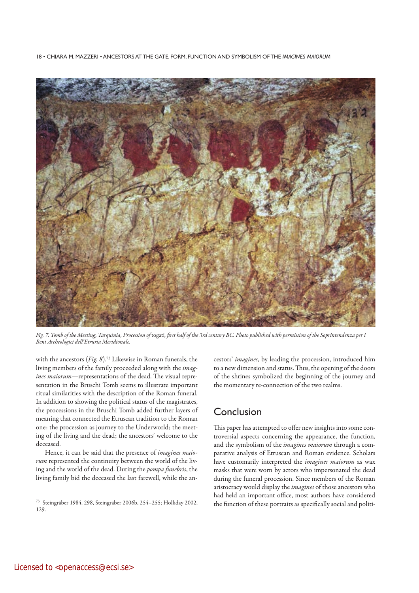18 · CHIARA M. MAZZERI · ANCESTORS AT THE GATE, FORM, FUNCTION AND SYMBOLISM OF THE IMAGINES MAIORUM



*Fig. 7. Tomb of the Meeting, Tarquinia, Procession of* togati*, first half of the 3rd century BC. Photo published with permission of the Soprintendenza per i Beni Archeologici dell'Etruria Meridionale.*

with the ancestors (*Fig. 8*).73 Likewise in Roman funerals, the living members of the family proceeded along with the *imagines maiorum*—representations of the dead. The visual representation in the Bruschi Tomb seems to illustrate important ritual similarities with the description of the Roman funeral. In addition to showing the political status of the magistrates, the processions in the Bruschi Tomb added further layers of meaning that connected the Etruscan tradition to the Roman one: the procession as journey to the Underworld; the meeting of the living and the dead; the ancestors' welcome to the deceased.

Hence, it can be said that the presence of *imagines maiorum* represented the continuity between the world of the living and the world of the dead. During the *pompa funebris*, the living family bid the deceased the last farewell, while the ancestors' *imagines*, by leading the procession, introduced him to a new dimension and status. Thus, the opening of the doors of the shrines symbolized the beginning of the journey and the momentary re-connection of the two realms.

# Conclusion

This paper has attempted to offer new insights into some controversial aspects concerning the appearance, the function, and the symbolism of the *imagines maiorum* through a comparative analysis of Etruscan and Roman evidence. Scholars have customarily interpreted the *imagines maiorum* as wax masks that were worn by actors who impersonated the dead during the funeral procession. Since members of the Roman aristocracy would display the *imagines* of those ancestors who had held an important office, most authors have considered the function of these portraits as specifically social and politi-

<sup>73</sup> Steingräber 1984, 298, Steingräber 2006b, 254–255; Holliday 2002, 129.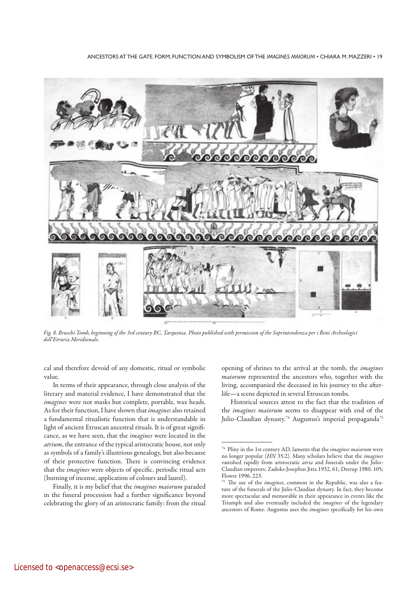ANCESTORS AT THE GATE. FORM, FUNCTION AND SYMBOLISM OF THE *IMAGINES MAIORUM* • CHIARA M. MAZZERI • 19



*Fig. 8. Bruschi Tomb, beginning of the 3rd century BC, Tarquinia. Photo published with permission of the Soprintendenza per i Beni Archeologici dell'Etruria Meridionale.*

cal and therefore devoid of any domestic, ritual or symbolic value.

In terms of their appearance, through close analysis of the literary and material evidence, I have demonstrated that the *imagines* were not masks but complete, portable, wax heads. As for their function, I have shown that *imagines* also retained a fundamental ritualistic function that is understandable in light of ancient Etruscan ancestral rituals. It is of great significance, as we have seen, that the *imagines* were located in the *atrium*, the entrance of the typical aristocratic house, not only as symbols of a family's illustrious genealogy, but also because of their protective function. There is convincing evidence that the *imagines* were objects of specific, periodic ritual acts (burning of incense, application of colours and laurel).

Finally, it is my belief that the *imagines maiorum* paraded in the funeral procession had a further significance beyond celebrating the glory of an aristocratic family: from the ritual opening of shrines to the arrival at the tomb, the *imagines maiorum* represented the ancestors who, together with the living, accompanied the deceased in his journey to the afterlife—a scene depicted in several Etruscan tombs.

Historical sources attest to the fact that the tradition of the *imagines maiorum* seems to disappear with end of the Julio-Claudian dynasty.<sup>74</sup> Augustus's imperial propaganda<sup>75</sup>

<sup>74</sup> Pliny in the 1st century AD, laments that the *imagines maiorum* were no longer popular (*HN* 35.2). Many scholars believe that the *imagines* vanished rapidly from aristocratic *atria* and funerals under the Julio-Claudian emperors: Zadoks-Josephus Jitta 1932, 61; Drerup 1980, 105; Flower 1996, 223.

<sup>75</sup> The use of the *imagines*, common in the Republic, was also a feature of the funerals of the Julio-Claudian dynasty. In fact, they become more spectacular and memorable in their appearance in events like the Triumph and also eventually included the *imagines* of the legendary ancestors of Rome. Augustus uses the *imagines* specifically for his own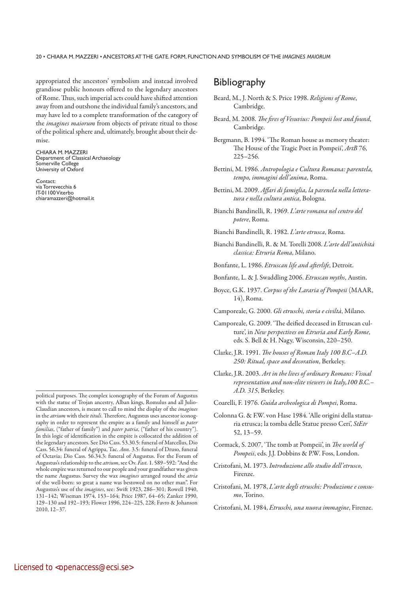appropriated the ancestors' symbolism and instead involved grandiose public honours offered to the legendary ancestors of Rome. Thus, such imperial acts could have shifted attention away from and outshone the individual family's ancestors, and may have led to a complete transformation of the category of the *imagines maiorum* from objects of private ritual to those of the political sphere and, ultimately, brought about their demise.

CHIARA M. MAZZERI Department of Classical Archaeology Somerville College University of Oxford

Contact: via Torrevecchia 6 IT-01100 Viterbo chiaramazzeri@hotmail.it

# **Bibliography**

- Beard, M., J. North & S. Price 1998. *Religions of Rome*, Cambridge.
- Beard, M. 2008. *The fires of Vesuvius: Pompeii lost and found*, Cambridge.
- Bergmann, B. 1994. 'The Roman house as memory theater: The House of the Tragic Poet in Pompeii', *ArtB* 76, 225–256.
- Bettini, M. 1986. *Antropologia e Cultura Romana: parentela, tempo, immagini dell'anima*, Roma.
- Bettini, M. 2009. *Affari di famiglia, la parenela nella letteratura e nella cultura antica*, Bologna.
- Bianchi Bandinelli, R. 1969. *L'arte romana nel centro del potere*, Roma.
- Bianchi Bandinelli, R. 1982. *L'arte etrusca*, Roma.
- Bianchi Bandinelli, R. & M. Torelli 2008. *L'arte dell'antichità classica: Etruria Roma*, Milano.
- Bonfante, L. 1986. *Etruscan life and afterlife*, Detroit.
- Bonfante, L. & J. Swaddling 2006. *Etruscan myths*, Austin.
- Boyce, G.K. 1937. *Corpus of the Lararia of Pompeii* (MAAR, 14), Roma.
- Camporeale, G. 2000. *Gli etruschi, storia e civiltà*, Milano.
- Camporeale, G. 2009. 'The deified deceased in Etruscan culture', in *New perspectives on Etruria and Early Rome*, eds. S. Bell & H. Nagy, Wisconsin, 220–250.
- Clarke, J.R. 1991. *The houses of Roman Italy 100 B.C–A.D. 250: Ritual, space and decoration*, Berkeley.
- Clarke, J.R. 2003. *Art in the lives of ordinary Romans: Visual representation and non-elite viewers in Italy,100 B.C.– A.D. 315*, Berkeley.
- Coarelli, F. 1976. *Guida archeologica di Pompei*, Roma.
- Colonna G. & F.W. von Hase 1984. 'Alle origini della statuaria etrusca; la tomba delle Statue presso Ceri', *StEtr*  52, 13*–*59.
- Cormack, S. 2007, 'The tomb at Pompeii', in *The world of Pompeii*, eds. J.J. Dobbins & P.W. Foss, London.
- Cristofani, M. 1973. *Introduzione allo studio dell'etrusco*, Firenze.
- Cristofani, M. 1978, *L'arte degli etruschi: Produzione e consumo*, Torino.
- Cristofani, M. 1984, *Etruschi, una nuova immagine*, Firenze.

political purposes. The complex iconography of the Forum of Augustus with the statue of Trojan ancestry, Alban kings, Romulus and all Julio-Claudian ancestors, is meant to call to mind the display of the *imagines* in the *atrium* with their *tituli*. Therefore, Augustus uses ancestor iconography in order to represent the empire as a family and himself as *pater familias*, ("father of family") and *pater patria*, ("father of his country"). In this logic of identification in the empire is collocated the addition of the legendary ancestors. See Dio Cass. 53.30.5: funeral of Marcellus, Dio Cass. 56.34: funeral of Agrippa, Tac. *Ann*. 3.5: funeral of Druso, funeral of Octavia; Dio Cass. 56.34.3: funeral of Augustus. For the Forum of Augustus's relationship to the *atrium*, see Ov. *Fast.* 1. 589–592: "And the whole empire was returned to our people and your grandfather was given the name Augustus. Survey the wax *imagines* arranged round the *atria* of the well-born: so great a name was bestowed on no other man". For Augustus's use of the *imagines*, see: Swift 1923, 286–301; Rowell 1940, 131–142; Wiseman 1974, 153–164; Price 1987, 64–65; Zanker 1990, 129–130 and 192–193; Flower 1996, 224–225, 228; Favro & Johanson 2010, 12–37.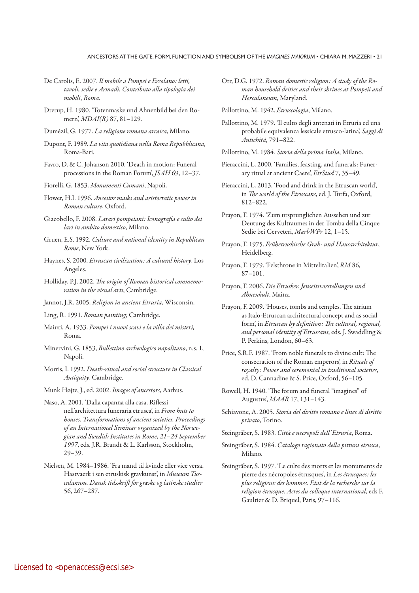#### ANCESTORS AT THE GATE. FORM, FUNCTION AND SYMBOLISM OF THE *IMAGINES MAIORUM* CHIARA M. MAZZERI 21

- De Carolis, E. 2007. *Il mobile a Pompei e Ercolano: letti, tavoli, sedie e Armadi. Contributo alla tipologia dei mobili*, *Roma.*
- Drerup, H. 1980. 'Totenmaske und Ahnenbild bei den Romern', *MDAI(R)* 87, 81–129.
- Dumézil, G. 1977. *La religione romana arcaica*, Milano.
- Dupont, F. 1989. *La vita quotidiana nella Roma Repubblicana*, Roma-Bari.
- Favro, D. & C. Johanson 2010. 'Death in motion: Funeral processions in the Roman Forum', *JSAH* 69, 12–37.
- Fiorelli, G. 1853. *Monumenti Cumani*, Napoli.
- Flower, H.I. 1996. *Ancestor masks and aristocratic power in Roman culture*, Oxford.
- Giacobello, F. 2008. *Larari pompeiani: Iconografia e culto dei lari in ambito domestico*, Milano.
- Gruen, E.S. 1992. *Culture and national identity in Republican Rome*, New York.
- Haynes, S. 2000. *Etruscan civilization: A cultural history*, Los Angeles.
- Holliday, P.J. 2002. *The origin of Roman historical commemoration in the visual arts*, Cambridge.
- Jannot, J.R. 2005. *Religion in ancient Etruria*, Wisconsin.
- Ling, R. 1991. *Roman painting*, Cambridge.
- Maiuri, A. 1933. *Pompei i nuovi scavi e la villa dei misteri,*  Roma.
- Minervini, G. 1853, *Bullettino archeologico napolitano*, n.s. 1, Napoli.
- Morris, I. 1992. *Death-ritual and social structure in Classical Antiquity*, Cambridge.
- Munk Højte, J., ed. 2002. *Images of ancestors*, Aarhus.
- Naso, A. 2001. 'Dalla capanna alla casa. Riflessi nell'architettura funeraria etrusca', in *From huts to houses. Transformations of ancient societies. Proceedings of an International Seminar organized by the Norwegian and Swedish Institutes in Rome, 21*–*24 September 1997*, eds. J.R. Brandt & L. Karlsson, Stockholm, 29–39.
- Nielsen, M. 1984–1986. 'Fra mand til kvinde eller vice versa. Hastvaerk i sen etruskisk gravkunst', in *Museum Tusculanum. Dansk tidsskrift for græske og latinske studier* 56, 267–287.
- Orr, D.G. 1972. *Roman domestic religion: A study of the Roman household deities and their shrines at Pompeii and Herculaneum*, Maryland.
- Pallottino, M. 1942. *Etruscologia*, Milano.
- Pallottino, M. 1979. 'Il culto degli antenati in Etruria ed una probabile equivalenza lessicale etrusco-latina', *Saggi di Antichità*, 791–822.
- Pallottino, M. 1984*. Storia della prima Italia*, Milano.
- Pieraccini, L. 2000. 'Families, feasting, and funerals: Funerary ritual at ancient Caere', *EtrStud* 7, 35–49.
- Pieraccini, L. 2013. 'Food and drink in the Etruscan world', in *The world of the Etruscans*, ed. J. Turfa, Oxford, 812–822.
- Prayon, F. 1974. 'Zum ursprunglichen Aussehen und zur Deutung des Kultraumes in der Tomba della Cinque Sedie bei Cerveteri, *MarbWPr* 12, 1–15.
- Prayon, F. 1975. *Frühetruskische Grab- und Hausarchitektur*, Heidelberg.
- Prayon, F. 1979. 'Felsthrone in Mittelitalien', *RM* 86, 87–101.
- Prayon, F. 2006. *Die Etrusker. Jenseitsvorstellungen und Ahnen kult*, Mainz.
- Prayon, F. 2009. 'Houses, tombs and temples. The atrium as Italo-Etruscan architectural concept and as social form', in *Etruscan by definition: The cultural, regional, and personal identity of Etruscans*, eds. J. Swaddling & P. Perkins, London, 60–63.
- Price, S.R.F. 1987. 'From noble funerals to divine cult: The consecration of the Roman emperors', in *Rituals of royalty: Power and ceremonial in traditional societies*, ed. D. Cannadine & S. Price, Oxford, 56–105.
- Rowell, H. 1940. 'The forum and funeral "imagines" of Augustus', *MAAR* 17, 131–143.
- Schiavone, A. 2005. *Storia del diritto romano e linee di diritto privato*, Torino.
- Steingräber, S. 1983. *Città e necropoli dell'Etruria*, Roma.
- Steingräber, S. 1984. *Catalogo ragionato della pittura etrusca*, Milano.
- Steingräber, S. 1997. 'Le culte des morts et les monuments de pierre des nécropoles étrusques', in *Les étrusques: les plus religieux des hommes. Etat de la recherche sur la religion étrusque. Actes du colloque international*, eds F. Gaultier & D. Briquel, Paris, 97–116.